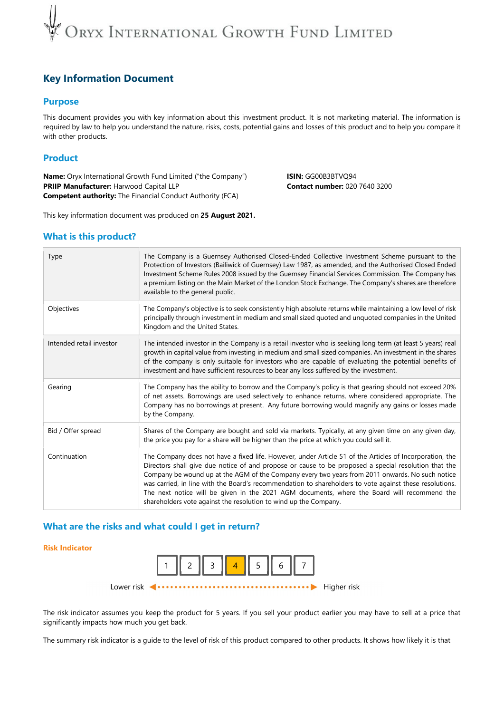## DRYX INTERNATIONAL GROWTH FUND LIMITED

## Key Information Document

### Purpose

This document provides you with key information about this investment product. It is not marketing material. The information is required by law to help you understand the nature, risks, costs, potential gains and losses of this product and to help you compare it with other products.

## Product

Name: Oryx International Growth Fund Limited ("the Company") **ISIN: GG00B3BTVQ94** PRIIP Manufacturer: Harwood Capital LLP Contact number: 020 7640 3200 Competent authority: The Financial Conduct Authority (FCA)

This key information document was produced on 25 August 2021.

### What is this product?

| Type                     | The Company is a Guernsey Authorised Closed-Ended Collective Investment Scheme pursuant to the<br>Protection of Investors (Bailiwick of Guernsey) Law 1987, as amended, and the Authorised Closed Ended<br>Investment Scheme Rules 2008 issued by the Guernsey Financial Services Commission. The Company has<br>a premium listing on the Main Market of the London Stock Exchange. The Company's shares are therefore<br>available to the general public.                                                                                                                                       |  |  |
|--------------------------|--------------------------------------------------------------------------------------------------------------------------------------------------------------------------------------------------------------------------------------------------------------------------------------------------------------------------------------------------------------------------------------------------------------------------------------------------------------------------------------------------------------------------------------------------------------------------------------------------|--|--|
| Objectives               | The Company's objective is to seek consistently high absolute returns while maintaining a low level of risk<br>principally through investment in medium and small sized quoted and unquoted companies in the United<br>Kingdom and the United States.                                                                                                                                                                                                                                                                                                                                            |  |  |
| Intended retail investor | The intended investor in the Company is a retail investor who is seeking long term (at least 5 years) real<br>growth in capital value from investing in medium and small sized companies. An investment in the shares<br>of the company is only suitable for investors who are capable of evaluating the potential benefits of<br>investment and have sufficient resources to bear any loss suffered by the investment.                                                                                                                                                                          |  |  |
| Gearing                  | The Company has the ability to borrow and the Company's policy is that gearing should not exceed 20%<br>of net assets. Borrowings are used selectively to enhance returns, where considered appropriate. The<br>Company has no borrowings at present. Any future borrowing would magnify any gains or losses made<br>by the Company.                                                                                                                                                                                                                                                             |  |  |
| Bid / Offer spread       | Shares of the Company are bought and sold via markets. Typically, at any given time on any given day,<br>the price you pay for a share will be higher than the price at which you could sell it.                                                                                                                                                                                                                                                                                                                                                                                                 |  |  |
| Continuation             | The Company does not have a fixed life. However, under Article 51 of the Articles of Incorporation, the<br>Directors shall give due notice of and propose or cause to be proposed a special resolution that the<br>Company be wound up at the AGM of the Company every two years from 2011 onwards. No such notice<br>was carried, in line with the Board's recommendation to shareholders to vote against these resolutions.<br>The next notice will be given in the 2021 AGM documents, where the Board will recommend the<br>shareholders vote against the resolution to wind up the Company. |  |  |

### What are the risks and what could I get in return?

#### Risk Indicator



The risk indicator assumes you keep the product for 5 years. If you sell your product earlier you may have to sell at a price that significantly impacts how much you get back.

The summary risk indicator is a guide to the level of risk of this product compared to other products. It shows how likely it is that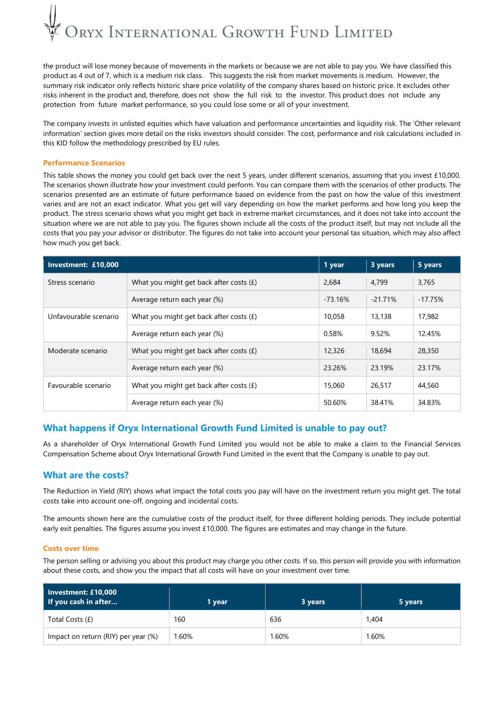# DRYX INTERNATIONAL GROWTH FUND LIMITED

the product will lose money because of movements in the markets or because we are not able to pay you. We have classified this product as 4 out of 7, which is a medium risk class. This suggests the risk from market movements is medium. However, the summary risk indicator only reflects historic share price volatility of the company shares based on historic price. It excludes other risks inherent in the product and, therefore, does not show the full risk to the investor. This product does not include any protection from future market performance, so you could lose some or all of your investment.

The company invests in unlisted equities which have valuation and performance uncertainties and liquidity risk. The 'Other relevant information' section gives more detail on the risks investors should consider. The cost, performance and risk calculations included in this KID follow the methodology prescribed by EU rules.

#### Performance Scenarios

This table shows the money you could get back over the next 5 years, under different scenarios, assuming that you invest £10,000. The scenarios shown illustrate how your investment could perform. You can compare them with the scenarios of other products. The scenarios presented are an estimate of future performance based on evidence from the past on how the value of this investment varies and are not an exact indicator. What you get will vary depending on how the market performs and how long you keep the product. The stress scenario shows what you might get back in extreme market circumstances, and it does not take into account the situation where we are not able to pay you. The figures shown include all the costs of the product itself, but may not include all the costs that you pay your advisor or distributor. The figures do not take into account your personal tax situation, which may also affect how much you get back.

| Investment: £10,000   |                                           |           | 3 years    | 5 years   |
|-----------------------|-------------------------------------------|-----------|------------|-----------|
| Stress scenario       | What you might get back after costs $(f)$ | 2,684     | 4.799      | 3,765     |
|                       | Average return each year (%)              | $-73.16%$ | $-21.71\%$ | $-17.75%$ |
| Unfavourable scenario | What you might get back after costs $(E)$ | 10,058    | 13,138     | 17,982    |
|                       | Average return each year (%)              | 0.58%     | 9.52%      | 12.45%    |
| Moderate scenario     | What you might get back after costs $(f)$ | 12,326    | 18,694     | 28,350    |
|                       | Average return each year (%)              | 23.26%    | 23.19%     | 23.17%    |
| Favourable scenario   | What you might get back after costs $(f)$ | 15,060    | 26,517     | 44,560    |
|                       | Average return each year (%)              | 50.60%    | 38.41%     | 34.83%    |

## What happens if Oryx International Growth Fund Limited is unable to pay out?

As a shareholder of Oryx International Growth Fund Limited you would not be able to make a claim to the Financial Services Compensation Scheme about Oryx International Growth Fund Limited in the event that the Company is unable to pay out.

#### What are the costs?

The Reduction in Yield (RIY) shows what impact the total costs you pay will have on the investment return you might get. The total costs take into account one-off, ongoing and incidental costs.

The amounts shown here are the cumulative costs of the product itself, for three different holding periods. They include potential early exit penalties. The figures assume you invest £10,000. The figures are estimates and may change in the future.

#### Costs over time

The person selling or advising you about this product may charge you other costs. If so, this person will provide you with information about these costs, and show you the impact that all costs will have on your investment over time.

| Investment: £10,000<br>If you cash in after | 1 vear | 3 years | 5 years |
|---------------------------------------------|--------|---------|---------|
| Total Costs (£)                             | 160    | 636     | 1,404   |
| Impact on return (RIY) per year (%)         | 1.60%  | .60%    | 1.60%   |